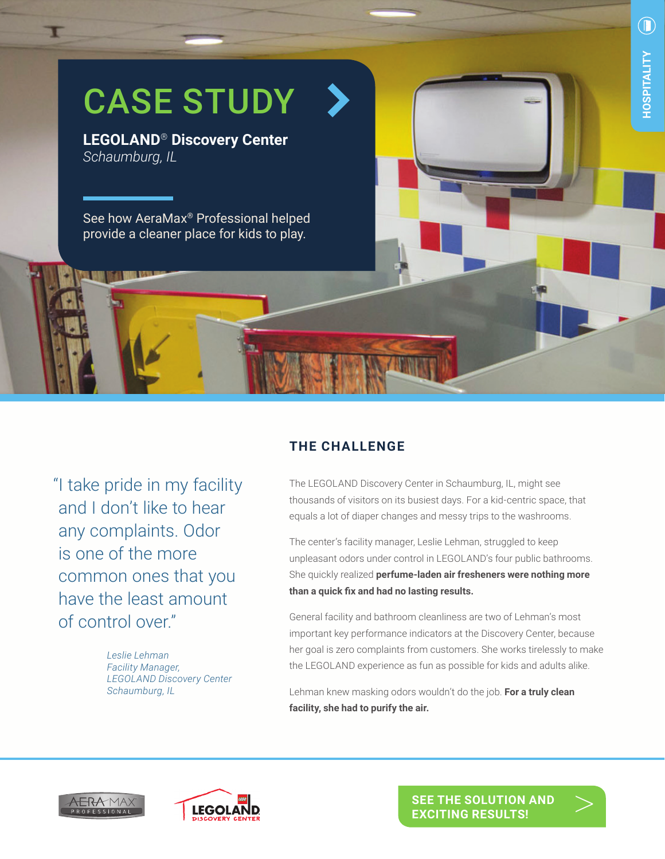

**THE CHALLENGE**

"I take pride in my facility and I don't like to hear any complaints. Odor is one of the more common ones that you have the least amount of control over."

> *Leslie Lehman Facility Manager, LEGOLAND Discovery Center Schaumburg, IL*

The LEGOLAND Discovery Center in Schaumburg, IL, might see thousands of visitors on its busiest days. For a kid-centric space, that equals a lot of diaper changes and messy trips to the washrooms.

The center's facility manager, Leslie Lehman, struggled to keep unpleasant odors under control in LEGOLAND's four public bathrooms. She quickly realized **perfume-laden air fresheners were nothing more than a quick fix and had no lasting results.**

General facility and bathroom cleanliness are two of Lehman's most important key performance indicators at the Discovery Center, because her goal is zero complaints from customers. She works tirelessly to make the LEGOLAND experience as fun as possible for kids and adults alike.

Lehman knew masking odors wouldn't do the job. **For a truly clean facility, she had to purify the air.**